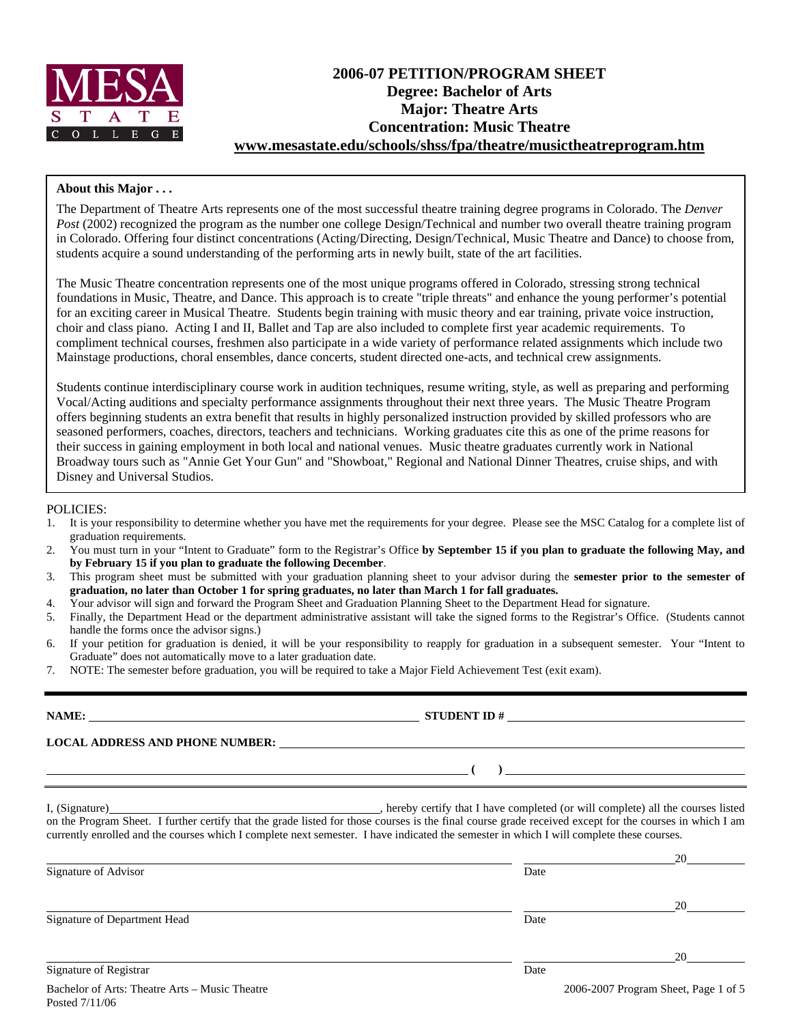

# **2006-07 PETITION/PROGRAM SHEET Degree: Bachelor of Arts Major: Theatre Arts Concentration: Music Theatre www.mesastate.edu/schools/shss/fpa/theatre/musictheatreprogram.htm**

### **About this Major . . .**

The Department of Theatre Arts represents one of the most successful theatre training degree programs in Colorado. The *Denver Post* (2002) recognized the program as the number one college Design/Technical and number two overall theatre training program in Colorado. Offering four distinct concentrations (Acting/Directing, Design/Technical, Music Theatre and Dance) to choose from, students acquire a sound understanding of the performing arts in newly built, state of the art facilities.

The Music Theatre concentration represents one of the most unique programs offered in Colorado, stressing strong technical foundations in Music, Theatre, and Dance. This approach is to create "triple threats" and enhance the young performer's potential for an exciting career in Musical Theatre. Students begin training with music theory and ear training, private voice instruction, choir and class piano. Acting I and II, Ballet and Tap are also included to complete first year academic requirements. To compliment technical courses, freshmen also participate in a wide variety of performance related assignments which include two Mainstage productions, choral ensembles, dance concerts, student directed one-acts, and technical crew assignments.

Students continue interdisciplinary course work in audition techniques, resume writing, style, as well as preparing and performing Vocal/Acting auditions and specialty performance assignments throughout their next three years. The Music Theatre Program offers beginning students an extra benefit that results in highly personalized instruction provided by skilled professors who are seasoned performers, coaches, directors, teachers and technicians. Working graduates cite this as one of the prime reasons for their success in gaining employment in both local and national venues. Music theatre graduates currently work in National Broadway tours such as "Annie Get Your Gun" and "Showboat," Regional and National Dinner Theatres, cruise ships, and with Disney and Universal Studios.

### POLICIES:

- 1. It is your responsibility to determine whether you have met the requirements for your degree. Please see the MSC Catalog for a complete list of graduation requirements.
- 2. You must turn in your "Intent to Graduate" form to the Registrar's Office **by September 15 if you plan to graduate the following May, and by February 15 if you plan to graduate the following December**.
- 3. This program sheet must be submitted with your graduation planning sheet to your advisor during the **semester prior to the semester of graduation, no later than October 1 for spring graduates, no later than March 1 for fall graduates.**
- 4. Your advisor will sign and forward the Program Sheet and Graduation Planning Sheet to the Department Head for signature.
- 5. Finally, the Department Head or the department administrative assistant will take the signed forms to the Registrar's Office. (Students cannot handle the forms once the advisor signs.)
- 6. If your petition for graduation is denied, it will be your responsibility to reapply for graduation in a subsequent semester. Your "Intent to Graduate" does not automatically move to a later graduation date.
- 7. NOTE: The semester before graduation, you will be required to take a Major Field Achievement Test (exit exam).

|                              | $\overline{a}$ (b) and the contract of $\overline{a}$ (c) and the contract of $\overline{a}$ (c) and the contract of $\overline{a}$                                                                                                                                                                 |                      |
|------------------------------|-----------------------------------------------------------------------------------------------------------------------------------------------------------------------------------------------------------------------------------------------------------------------------------------------------|----------------------|
|                              | on the Program Sheet. I further certify that the grade listed for those courses is the final course grade received except for the courses in which I am<br>currently enrolled and the courses which I complete next semester. I have indicated the semester in which I will complete these courses. |                      |
| Signature of Advisor         | Date                                                                                                                                                                                                                                                                                                |                      |
| Signature of Department Head | Date                                                                                                                                                                                                                                                                                                |                      |
| Signature of Registrar       | Date                                                                                                                                                                                                                                                                                                | $20 \quad \text{or}$ |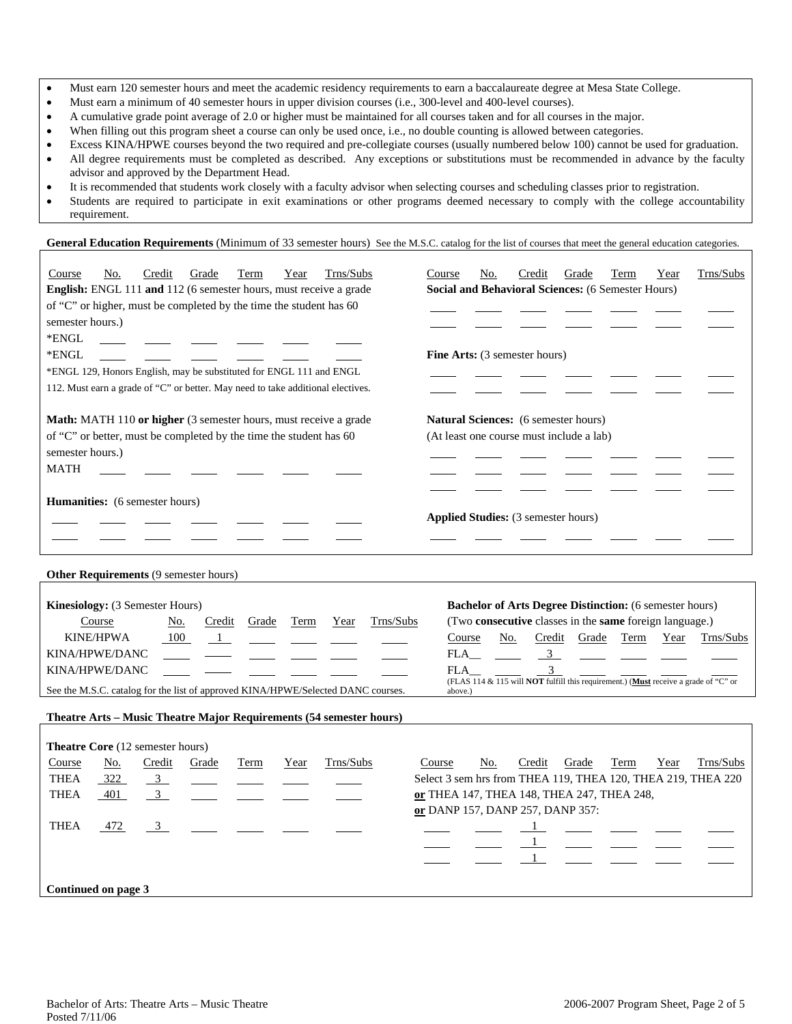- Must earn 120 semester hours and meet the academic residency requirements to earn a baccalaureate degree at Mesa State College.
- Must earn a minimum of 40 semester hours in upper division courses (i.e., 300-level and 400-level courses).
- A cumulative grade point average of 2.0 or higher must be maintained for all courses taken and for all courses in the major.
- When filling out this program sheet a course can only be used once, i.e., no double counting is allowed between categories.
- Excess KINA/HPWE courses beyond the two required and pre-collegiate courses (usually numbered below 100) cannot be used for graduation. • All degree requirements must be completed as described. Any exceptions or substitutions must be recommended in advance by the faculty advisor and approved by the Department Head.
- It is recommended that students work closely with a faculty advisor when selecting courses and scheduling classes prior to registration.
- Students are required to participate in exit examinations or other programs deemed necessary to comply with the college accountability requirement.

General Education Requirements (Minimum of 33 semester hours) See the M.S.C. catalog for the list of courses that meet the general education categories.

| Trns/Subs<br>Credit<br>Course<br>No.<br>Grade<br>Term<br>Year<br><b>English:</b> ENGL 111 and 112 (6 semester hours, must receive a grade<br>of "C" or higher, must be completed by the time the student has 60<br>semester hours.)<br>*ENGL<br>*ENGL<br>*ENGL 129, Honors English, may be substituted for ENGL 111 and ENGL<br>112. Must earn a grade of "C" or better. May need to take additional electives. | Trns/Subs<br>Credit<br>Course<br>No.<br>Grade<br>Term<br>Year<br>Social and Behavioral Sciences: (6 Semester Hours)<br><b>Fine Arts:</b> (3 semester hours)                                                                                                                                                                                         |
|-----------------------------------------------------------------------------------------------------------------------------------------------------------------------------------------------------------------------------------------------------------------------------------------------------------------------------------------------------------------------------------------------------------------|-----------------------------------------------------------------------------------------------------------------------------------------------------------------------------------------------------------------------------------------------------------------------------------------------------------------------------------------------------|
| Math: MATH 110 or higher (3 semester hours, must receive a grade<br>of "C" or better, must be completed by the time the student has 60<br>semester hours.)<br><b>MATH</b>                                                                                                                                                                                                                                       | <b>Natural Sciences:</b> (6 semester hours)<br>(At least one course must include a lab)                                                                                                                                                                                                                                                             |
| <b>Humanities:</b> (6 semester hours)                                                                                                                                                                                                                                                                                                                                                                           | Applied Studies: (3 semester hours)                                                                                                                                                                                                                                                                                                                 |
| Other Requirements (9 semester hours)                                                                                                                                                                                                                                                                                                                                                                           |                                                                                                                                                                                                                                                                                                                                                     |
| Kinesiology: (3 Semester Hours)<br><b>Term</b><br>Trns/Subs<br>Course<br>No.<br>Credit<br>Grade<br>Year<br><b>KINE/HPWA</b><br>100<br>1<br>KINA/HPWE/DANC<br>KINA/HPWE/DANC<br>See the M.S.C. catalog for the list of approved KINA/HPWE/Selected DANC courses.                                                                                                                                                 | <b>Bachelor of Arts Degree Distinction:</b> (6 semester hours)<br>(Two consecutive classes in the same foreign language.)<br>Course<br>No.<br>Credit<br>Grade<br>Term<br>Year<br>Trns/Subs<br>FLA<br>$\frac{3}{2}$<br>$\mathcal{L}$<br>FLA<br>(FLAS 114 & 115 will <b>NOT</b> fulfill this requirement.) (Must receive a grade of "C" or<br>above.) |
| Theatre Arts - Music Theatre Major Requirements (54 semester hours)                                                                                                                                                                                                                                                                                                                                             |                                                                                                                                                                                                                                                                                                                                                     |
| Theatre Core (12 semester hours)                                                                                                                                                                                                                                                                                                                                                                                |                                                                                                                                                                                                                                                                                                                                                     |
| Trns/Subs<br>Course<br>Credit<br>Grade<br>No.<br>Term<br>Year                                                                                                                                                                                                                                                                                                                                                   | Credit<br>Trns/Subs<br>Course<br>No.<br>Grade<br>Term<br>Year                                                                                                                                                                                                                                                                                       |
| <b>THEA</b><br>322<br>3 <sup>7</sup>                                                                                                                                                                                                                                                                                                                                                                            | Select 3 sem hrs from THEA 119, THEA 120, THEA 219, THEA 220                                                                                                                                                                                                                                                                                        |
| $\overline{3}$<br><b>THEA</b><br>401                                                                                                                                                                                                                                                                                                                                                                            | or THEA 147, THEA 148, THEA 247, THEA 248,<br>or DANP 157, DANP 257, DANP 357:                                                                                                                                                                                                                                                                      |
| <b>THEA</b><br>$\mathfrak{Z}$<br>472                                                                                                                                                                                                                                                                                                                                                                            |                                                                                                                                                                                                                                                                                                                                                     |
| Continued on page 3                                                                                                                                                                                                                                                                                                                                                                                             |                                                                                                                                                                                                                                                                                                                                                     |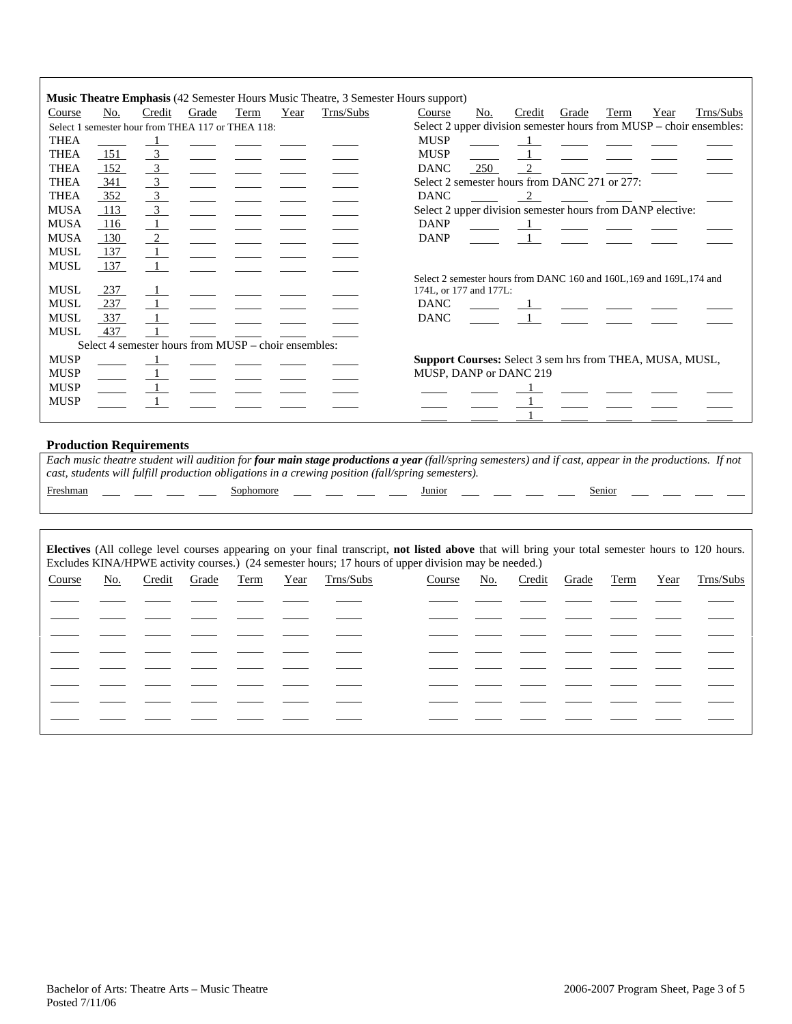|             |     |                           |       |                                                      |      | <b>Music Theatre Emphasis</b> (42 Semester Hours Music Theatre, 3 Semester Hours support) |                                                                       |     |        |       |      |      |                                                                     |
|-------------|-----|---------------------------|-------|------------------------------------------------------|------|-------------------------------------------------------------------------------------------|-----------------------------------------------------------------------|-----|--------|-------|------|------|---------------------------------------------------------------------|
| Course      | No. | Credit                    | Grade | Term                                                 | Year | Trns/Subs                                                                                 | Course                                                                | No. | Credit | Grade | Term | Year | Trns/Subs                                                           |
|             |     |                           |       | Select 1 semester hour from THEA 117 or THEA 118:    |      |                                                                                           |                                                                       |     |        |       |      |      | Select 2 upper division semester hours from MUSP - choir ensembles: |
| <b>THEA</b> |     |                           |       |                                                      |      |                                                                                           | <b>MUSP</b>                                                           |     |        |       |      |      |                                                                     |
| <b>THEA</b> | 151 | $\overline{\phantom{0}3}$ |       |                                                      |      |                                                                                           | <b>MUSP</b>                                                           |     |        |       |      |      |                                                                     |
| <b>THEA</b> | 152 | $\overline{\phantom{0}3}$ |       |                                                      |      |                                                                                           | <b>DANC</b>                                                           | 250 |        |       |      |      |                                                                     |
| <b>THEA</b> | 341 | $\overline{\mathbf{3}}$   |       |                                                      |      |                                                                                           | Select 2 semester hours from DANC 271 or 277:                         |     |        |       |      |      |                                                                     |
| <b>THEA</b> | 352 | $\frac{3}{2}$             |       |                                                      |      |                                                                                           | <b>DANC</b>                                                           |     |        |       |      |      |                                                                     |
| <b>MUSA</b> | 113 | $\overline{\phantom{0}3}$ |       |                                                      |      |                                                                                           | Select 2 upper division semester hours from DANP elective:            |     |        |       |      |      |                                                                     |
| <b>MUSA</b> | 116 |                           |       |                                                      |      |                                                                                           | <b>DANP</b>                                                           |     |        |       |      |      |                                                                     |
| <b>MUSA</b> | 130 | $\frac{2}{2}$             |       |                                                      |      |                                                                                           | <b>DANP</b>                                                           |     |        |       |      |      |                                                                     |
| <b>MUSL</b> | 137 |                           |       |                                                      |      |                                                                                           |                                                                       |     |        |       |      |      |                                                                     |
| <b>MUSL</b> | 137 |                           |       |                                                      |      |                                                                                           |                                                                       |     |        |       |      |      |                                                                     |
|             |     |                           |       |                                                      |      |                                                                                           | Select 2 semester hours from DANC 160 and 160L, 169 and 169L, 174 and |     |        |       |      |      |                                                                     |
| <b>MUSL</b> | 237 |                           |       |                                                      |      |                                                                                           | 174L, or 177 and 177L:                                                |     |        |       |      |      |                                                                     |
| <b>MUSL</b> | 237 |                           |       |                                                      |      |                                                                                           | <b>DANC</b>                                                           |     |        |       |      |      |                                                                     |
| <b>MUSL</b> | 337 |                           |       |                                                      |      |                                                                                           | <b>DANC</b>                                                           |     |        |       |      |      |                                                                     |
| <b>MUSL</b> | 437 |                           |       |                                                      |      |                                                                                           |                                                                       |     |        |       |      |      |                                                                     |
|             |     |                           |       | Select 4 semester hours from MUSP – choir ensembles: |      |                                                                                           |                                                                       |     |        |       |      |      |                                                                     |
| <b>MUSP</b> |     |                           |       |                                                      |      |                                                                                           | <b>Support Courses:</b> Select 3 sem hrs from THEA, MUSA, MUSL,       |     |        |       |      |      |                                                                     |
| <b>MUSP</b> |     |                           |       |                                                      |      |                                                                                           | MUSP, DANP or DANC 219                                                |     |        |       |      |      |                                                                     |
| <b>MUSP</b> |     |                           |       |                                                      |      |                                                                                           |                                                                       |     |        |       |      |      |                                                                     |
| <b>MUSP</b> |     |                           |       |                                                      |      |                                                                                           |                                                                       |     |        |       |      |      |                                                                     |
|             |     |                           |       |                                                      |      |                                                                                           |                                                                       |     |        |       |      |      |                                                                     |

### **Production Requirements**

*Each music theatre student will audition for four main stage productions a year (fall/spring semesters) and if cast, appear in the productions. If not cast, students will fulfill production obligations in a crewing position (fall/spring semesters).*  Freshman Sophomore Junior Senior

| Electives (All college level courses appearing on your final transcript, not listed above that will bring your total semester hours to 120 hours.<br>Excludes KINA/HPWE activity courses.) (24 semester hours; 17 hours of upper division may be needed.) |     |        |       |      |      |           |        |     |        |       |      |      |           |
|-----------------------------------------------------------------------------------------------------------------------------------------------------------------------------------------------------------------------------------------------------------|-----|--------|-------|------|------|-----------|--------|-----|--------|-------|------|------|-----------|
| Course                                                                                                                                                                                                                                                    | No. | Credit | Grade | Term | Year | Trns/Subs | Course | No. | Credit | Grade | Term | Year | Trns/Subs |
|                                                                                                                                                                                                                                                           |     |        |       |      |      |           |        |     |        |       |      |      |           |
|                                                                                                                                                                                                                                                           |     |        |       |      |      |           |        |     |        |       |      |      |           |
|                                                                                                                                                                                                                                                           |     |        |       |      |      |           |        |     |        |       |      |      |           |
|                                                                                                                                                                                                                                                           |     |        |       |      |      |           |        |     |        |       |      |      |           |
|                                                                                                                                                                                                                                                           |     |        |       |      |      |           |        |     |        |       |      |      |           |
|                                                                                                                                                                                                                                                           |     |        |       |      |      |           |        |     |        |       |      |      |           |
|                                                                                                                                                                                                                                                           |     |        |       |      |      |           |        |     |        |       |      |      |           |
|                                                                                                                                                                                                                                                           |     |        |       |      |      |           |        |     |        |       |      |      |           |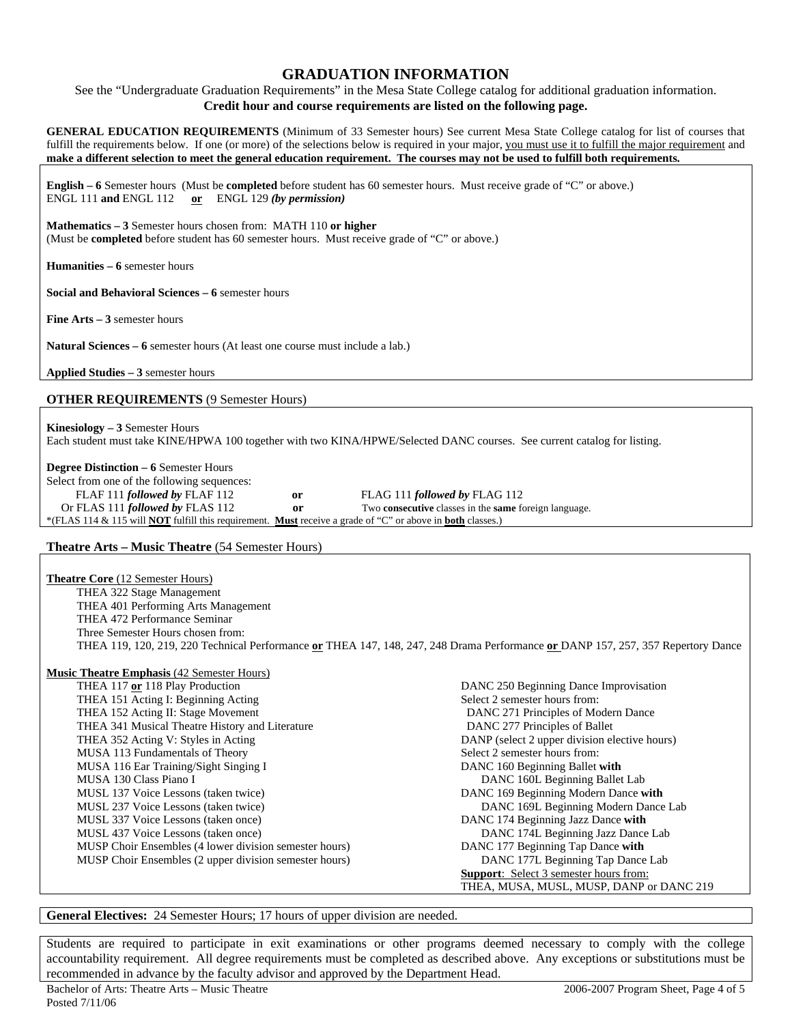## **GRADUATION INFORMATION**

See the "Undergraduate Graduation Requirements" in the Mesa State College catalog for additional graduation information. **Credit hour and course requirements are listed on the following page.** 

**GENERAL EDUCATION REQUIREMENTS** (Minimum of 33 Semester hours) See current Mesa State College catalog for list of courses that fulfill the requirements below. If one (or more) of the selections below is required in your major, you must use it to fulfill the major requirement and **make a different selection to meet the general education requirement. The courses may not be used to fulfill both requirements.**

**English – 6** Semester hours (Must be **completed** before student has 60 semester hours. Must receive grade of "C" or above.) ENGL 111 **and** ENGL 112 **or** ENGL 129 *(by permission)*

**Mathematics – 3** Semester hours chosen from: MATH 110 **or higher** (Must be **completed** before student has 60 semester hours. Must receive grade of "C" or above.)

**Humanities – 6** semester hours

**Social and Behavioral Sciences – 6** semester hours

**Fine Arts – 3** semester hours

**Natural Sciences – 6** semester hours (At least one course must include a lab.)

**Applied Studies – 3** semester hours

### **OTHER REQUIREMENTS** (9 Semester Hours)

**Kinesiology – 3** Semester Hours Each student must take KINE/HPWA 100 together with two KINA/HPWE/Selected DANC courses. See current catalog for listing.

**Degree Distinction – 6** Semester Hours

| Select from one of the following sequences:                                                                                     |    |                                                                     |
|---------------------------------------------------------------------------------------------------------------------------------|----|---------------------------------------------------------------------|
| FLAF 111 followed by FLAF 112                                                                                                   | or | FLAG 111 followed by FLAG 112                                       |
| Or FLAS 111 <i>followed by</i> FLAS 112                                                                                         | or | Two <b>consecutive</b> classes in the <b>same</b> foreign language. |
| *(FLAS 114 & 115 will <b>NOT</b> fulfill this requirement. <b>Must</b> receive a grade of "C" or above in <b>both</b> classes.) |    |                                                                     |

### **Theatre Arts – Music Theatre** (54 Semester Hours)

**Theatre Core** (12 Semester Hours) THEA 322 Stage Management THEA 401 Performing Arts Management THEA 472 Performance Seminar Three Semester Hours chosen from: THEA 119, 120, 219, 220 Technical Performance **or** THEA 147, 148, 247, 248 Drama Performance **or** DANP 157, 257, 357 Repertory Dance

#### **Music Theatre Emphasis** (42 Semester Hours)

| usic Theatre Emphasis $(42 \text{ S/m} \sin \theta)$   |                                               |
|--------------------------------------------------------|-----------------------------------------------|
| THEA 117 or 118 Play Production                        | DANC 250 Beginning Dance Improvisation        |
| THEA 151 Acting I: Beginning Acting                    | Select 2 semester hours from:                 |
| THEA 152 Acting II: Stage Movement                     | DANC 271 Principles of Modern Dance           |
| THEA 341 Musical Theatre History and Literature        | DANC 277 Principles of Ballet                 |
| THEA 352 Acting V: Styles in Acting                    | DANP (select 2 upper division elective hours) |
| MUSA 113 Fundamentals of Theory                        | Select 2 semester hours from:                 |
| MUSA 116 Ear Training/Sight Singing I                  | DANC 160 Beginning Ballet with                |
| MUSA 130 Class Piano I                                 | DANC 160L Beginning Ballet Lab                |
| MUSL 137 Voice Lessons (taken twice)                   | DANC 169 Beginning Modern Dance with          |
| MUSL 237 Voice Lessons (taken twice)                   | DANC 169L Beginning Modern Dance Lab          |
| MUSL 337 Voice Lessons (taken once)                    | DANC 174 Beginning Jazz Dance with            |
| MUSL 437 Voice Lessons (taken once)                    | DANC 174L Beginning Jazz Dance Lab            |
| MUSP Choir Ensembles (4 lower division semester hours) | DANC 177 Beginning Tap Dance with             |
| MUSP Choir Ensembles (2 upper division semester hours) | DANC 177L Beginning Tap Dance Lab             |
|                                                        | <b>Support:</b> Select 3 semester hours from: |
|                                                        | THEA, MUSA, MUSL, MUSP, DANP or DANC 219      |

### **General Electives:** 24 Semester Hours; 17 hours of upper division are needed.

Students are required to participate in exit examinations or other programs deemed necessary to comply with the college accountability requirement. All degree requirements must be completed as described above. Any exceptions or substitutions must be recommended in advance by the faculty advisor and approved by the Department Head.